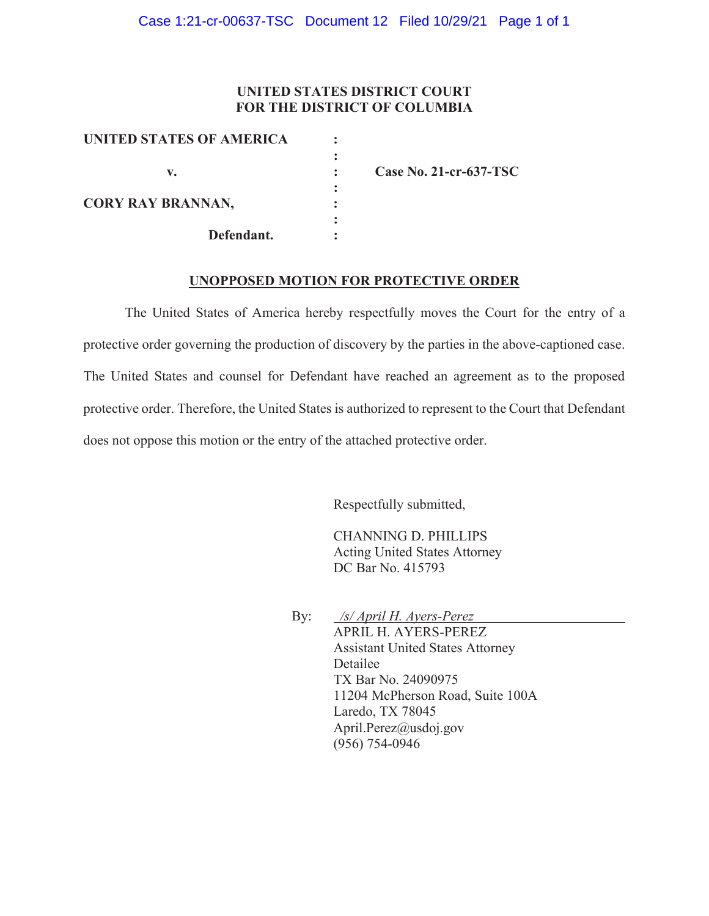### **UNITED STATES DISTRICT COURT FOR THE DISTRICT OF COLUMBIA**

| UNITED STATES OF AMERICA |                        |
|--------------------------|------------------------|
| v.                       | Case No. 21-cr-637-TSC |
| <b>CORY RAY BRANNAN,</b> |                        |
| Defendant.               |                        |

#### **UNOPPOSED MOTION FOR PROTECTIVE ORDER**

The United States of America hereby respectfully moves the Court for the entry of a protective order governing the production of discovery by the parties in the above-captioned case. The United States and counsel for Defendant have reached an agreement as to the proposed protective order. Therefore, the United States is authorized to represent to the Court that Defendant does not oppose this motion or the entry of the attached protective order.

Respectfully submitted,

CHANNING D. PHILLIPS Acting United States Attorney DC Bar No. 415793

By: */s/ April H. Ayers-Perez* APRIL H. AYERS-PEREZ Assistant United States Attorney Detailee TX Bar No. 24090975 11204 McPherson Road, Suite 100A Laredo, TX 78045 April.Perez@usdoj.gov (956) 754-0946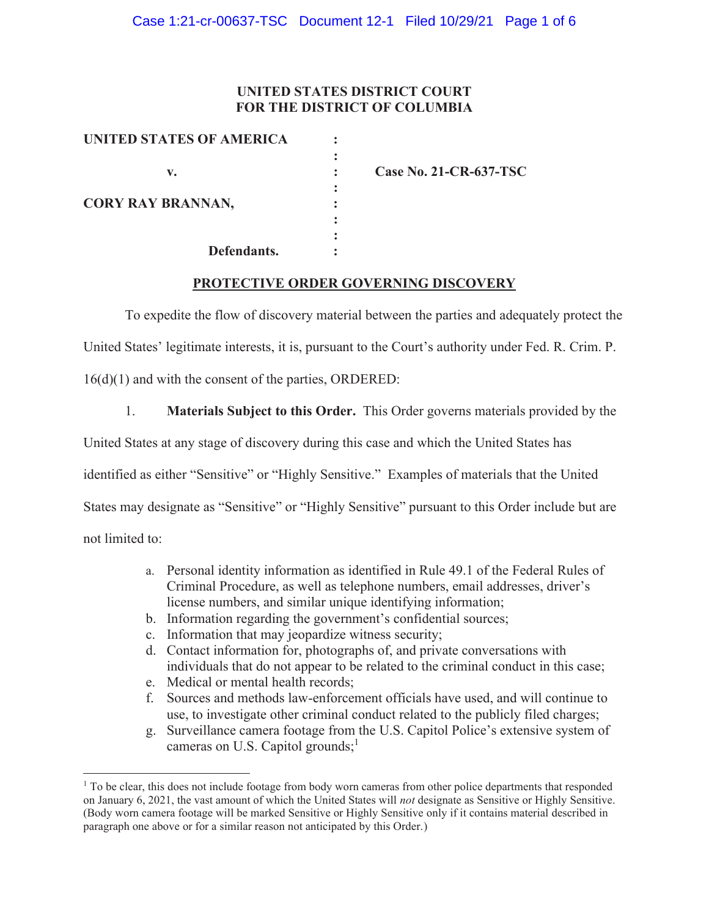### **UNITED STATES DISTRICT COURT FOR THE DISTRICT OF COLUMBIA**

| <b>UNITED STATES OF AMERICA</b> |  |
|---------------------------------|--|
|                                 |  |
| v.                              |  |
|                                 |  |
| <b>CORY RAY BRANNAN,</b>        |  |
|                                 |  |
|                                 |  |
| Defendants.                     |  |

**v. : Case No. 21-CR-637-TSC** 

### **PROTECTIVE ORDER GOVERNING DISCOVERY**

To expedite the flow of discovery material between the parties and adequately protect the

United States' legitimate interests, it is, pursuant to the Court's authority under Fed. R. Crim. P.

16(d)(1) and with the consent of the parties, ORDERED:

1. **Materials Subject to this Order.** This Order governs materials provided by the

United States at any stage of discovery during this case and which the United States has

identified as either "Sensitive" or "Highly Sensitive." Examples of materials that the United

States may designate as "Sensitive" or "Highly Sensitive" pursuant to this Order include but are

not limited to:

- a. Personal identity information as identified in Rule 49.1 of the Federal Rules of Criminal Procedure, as well as telephone numbers, email addresses, driver's license numbers, and similar unique identifying information;
- b. Information regarding the government's confidential sources;
- c. Information that may jeopardize witness security;
- d. Contact information for, photographs of, and private conversations with individuals that do not appear to be related to the criminal conduct in this case;
- e. Medical or mental health records;
- f. Sources and methods law-enforcement officials have used, and will continue to use, to investigate other criminal conduct related to the publicly filed charges;
- g. Surveillance camera footage from the U.S. Capitol Police's extensive system of cameras on U.S. Capitol grounds;<sup>1</sup>

<sup>&</sup>lt;sup>1</sup> To be clear, this does not include footage from body worn cameras from other police departments that responded on January 6, 2021, the vast amount of which the United States will *not* designate as Sensitive or Highly Sensitive. (Body worn camera footage will be marked Sensitive or Highly Sensitive only if it contains material described in paragraph one above or for a similar reason not anticipated by this Order.)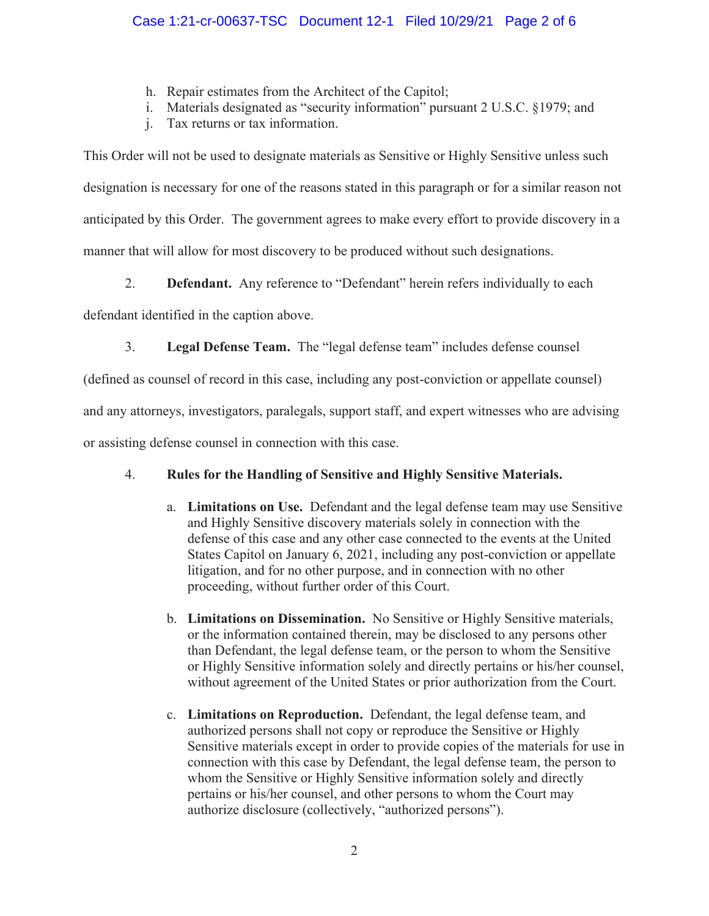- h. Repair estimates from the Architect of the Capitol;
- i. Materials designated as "security information" pursuant 2 U.S.C. §1979; and
- j. Tax returns or tax information.

This Order will not be used to designate materials as Sensitive or Highly Sensitive unless such designation is necessary for one of the reasons stated in this paragraph or for a similar reason not anticipated by this Order. The government agrees to make every effort to provide discovery in a manner that will allow for most discovery to be produced without such designations.

2. **Defendant.** Any reference to "Defendant" herein refers individually to each

defendant identified in the caption above.

3. **Legal Defense Team.** The "legal defense team" includes defense counsel

(defined as counsel of record in this case, including any post-conviction or appellate counsel)

and any attorneys, investigators, paralegals, support staff, and expert witnesses who are advising

or assisting defense counsel in connection with this case.

# 4. **Rules for the Handling of Sensitive and Highly Sensitive Materials.**

- a. **Limitations on Use.** Defendant and the legal defense team may use Sensitive and Highly Sensitive discovery materials solely in connection with the defense of this case and any other case connected to the events at the United States Capitol on January 6, 2021, including any post-conviction or appellate litigation, and for no other purpose, and in connection with no other proceeding, without further order of this Court.
- b. **Limitations on Dissemination.** No Sensitive or Highly Sensitive materials, or the information contained therein, may be disclosed to any persons other than Defendant, the legal defense team, or the person to whom the Sensitive or Highly Sensitive information solely and directly pertains or his/her counsel, without agreement of the United States or prior authorization from the Court.
- c. **Limitations on Reproduction.** Defendant, the legal defense team, and authorized persons shall not copy or reproduce the Sensitive or Highly Sensitive materials except in order to provide copies of the materials for use in connection with this case by Defendant, the legal defense team, the person to whom the Sensitive or Highly Sensitive information solely and directly pertains or his/her counsel, and other persons to whom the Court may authorize disclosure (collectively, "authorized persons").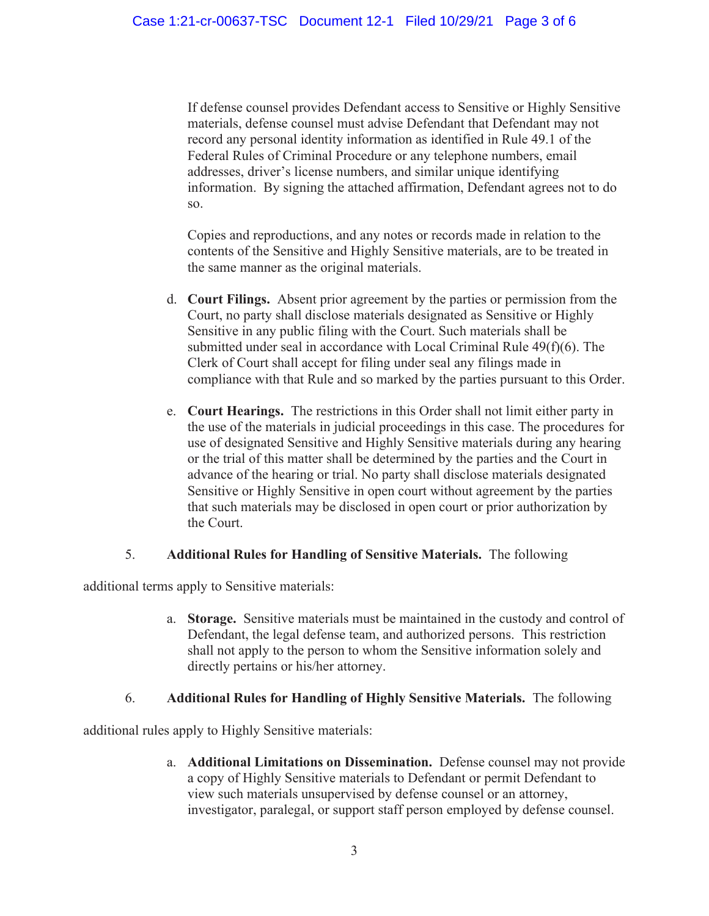If defense counsel provides Defendant access to Sensitive or Highly Sensitive materials, defense counsel must advise Defendant that Defendant may not record any personal identity information as identified in Rule 49.1 of the Federal Rules of Criminal Procedure or any telephone numbers, email addresses, driver's license numbers, and similar unique identifying information. By signing the attached affirmation, Defendant agrees not to do so.

Copies and reproductions, and any notes or records made in relation to the contents of the Sensitive and Highly Sensitive materials, are to be treated in the same manner as the original materials.

- d. **Court Filings.** Absent prior agreement by the parties or permission from the Court, no party shall disclose materials designated as Sensitive or Highly Sensitive in any public filing with the Court. Such materials shall be submitted under seal in accordance with Local Criminal Rule 49(f)(6). The Clerk of Court shall accept for filing under seal any filings made in compliance with that Rule and so marked by the parties pursuant to this Order.
- e. **Court Hearings.** The restrictions in this Order shall not limit either party in the use of the materials in judicial proceedings in this case. The procedures for use of designated Sensitive and Highly Sensitive materials during any hearing or the trial of this matter shall be determined by the parties and the Court in advance of the hearing or trial. No party shall disclose materials designated Sensitive or Highly Sensitive in open court without agreement by the parties that such materials may be disclosed in open court or prior authorization by the Court.

## 5. **Additional Rules for Handling of Sensitive Materials.** The following

additional terms apply to Sensitive materials:

a. **Storage.** Sensitive materials must be maintained in the custody and control of Defendant, the legal defense team, and authorized persons. This restriction shall not apply to the person to whom the Sensitive information solely and directly pertains or his/her attorney.

### 6. **Additional Rules for Handling of Highly Sensitive Materials.** The following

additional rules apply to Highly Sensitive materials:

a. **Additional Limitations on Dissemination.** Defense counsel may not provide a copy of Highly Sensitive materials to Defendant or permit Defendant to view such materials unsupervised by defense counsel or an attorney, investigator, paralegal, or support staff person employed by defense counsel.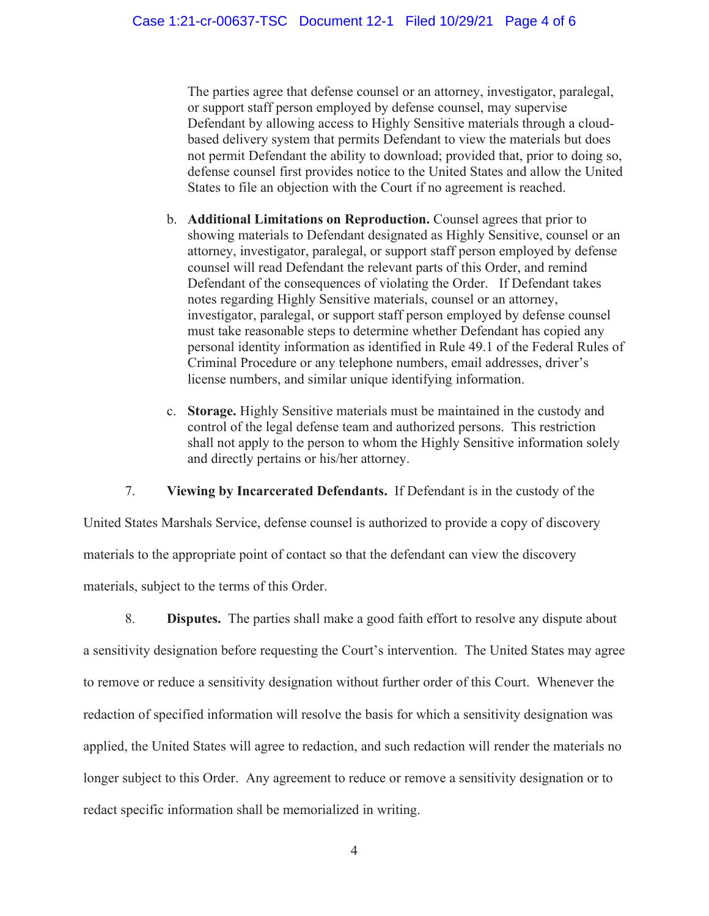The parties agree that defense counsel or an attorney, investigator, paralegal, or support staff person employed by defense counsel, may supervise Defendant by allowing access to Highly Sensitive materials through a cloudbased delivery system that permits Defendant to view the materials but does not permit Defendant the ability to download; provided that, prior to doing so, defense counsel first provides notice to the United States and allow the United States to file an objection with the Court if no agreement is reached.

- b. **Additional Limitations on Reproduction.** Counsel agrees that prior to showing materials to Defendant designated as Highly Sensitive, counsel or an attorney, investigator, paralegal, or support staff person employed by defense counsel will read Defendant the relevant parts of this Order, and remind Defendant of the consequences of violating the Order. If Defendant takes notes regarding Highly Sensitive materials, counsel or an attorney, investigator, paralegal, or support staff person employed by defense counsel must take reasonable steps to determine whether Defendant has copied any personal identity information as identified in Rule 49.1 of the Federal Rules of Criminal Procedure or any telephone numbers, email addresses, driver's license numbers, and similar unique identifying information.
- c. **Storage.** Highly Sensitive materials must be maintained in the custody and control of the legal defense team and authorized persons. This restriction shall not apply to the person to whom the Highly Sensitive information solely and directly pertains or his/her attorney.

7. **Viewing by Incarcerated Defendants.** If Defendant is in the custody of the

United States Marshals Service, defense counsel is authorized to provide a copy of discovery materials to the appropriate point of contact so that the defendant can view the discovery materials, subject to the terms of this Order.

8. **Disputes.** The parties shall make a good faith effort to resolve any dispute about a sensitivity designation before requesting the Court's intervention. The United States may agree to remove or reduce a sensitivity designation without further order of this Court. Whenever the redaction of specified information will resolve the basis for which a sensitivity designation was applied, the United States will agree to redaction, and such redaction will render the materials no longer subject to this Order. Any agreement to reduce or remove a sensitivity designation or to redact specific information shall be memorialized in writing.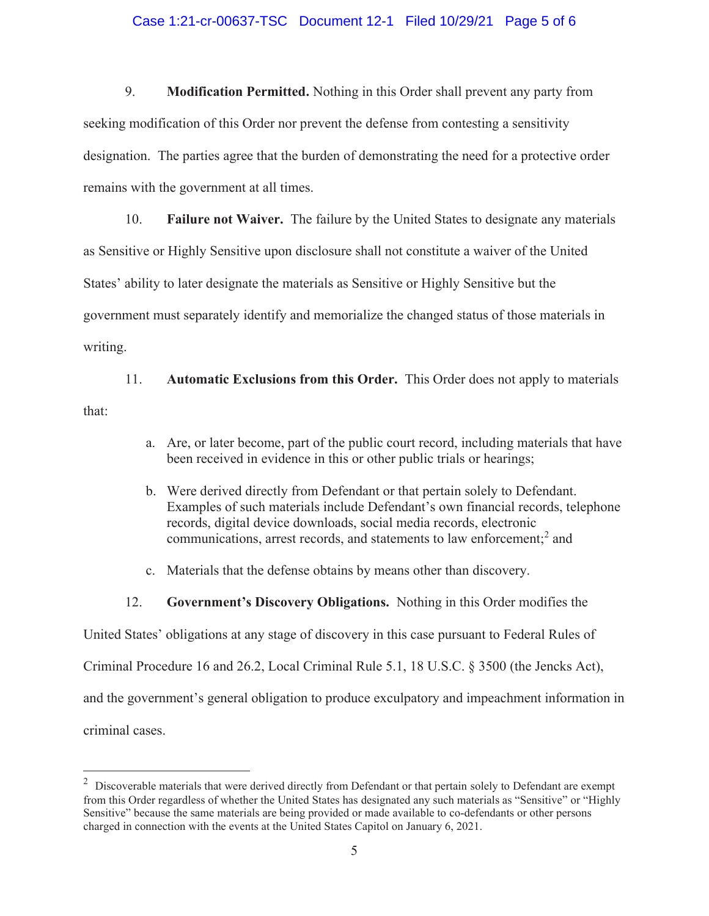### Case 1:21-cr-00637-TSC Document 12-1 Filed 10/29/21 Page 5 of 6

9. **Modification Permitted.** Nothing in this Order shall prevent any party from seeking modification of this Order nor prevent the defense from contesting a sensitivity designation. The parties agree that the burden of demonstrating the need for a protective order remains with the government at all times.

10. **Failure not Waiver.** The failure by the United States to designate any materials as Sensitive or Highly Sensitive upon disclosure shall not constitute a waiver of the United States' ability to later designate the materials as Sensitive or Highly Sensitive but the government must separately identify and memorialize the changed status of those materials in writing.

11. **Automatic Exclusions from this Order.** This Order does not apply to materials that:

- a. Are, or later become, part of the public court record, including materials that have been received in evidence in this or other public trials or hearings;
- b. Were derived directly from Defendant or that pertain solely to Defendant. Examples of such materials include Defendant's own financial records, telephone records, digital device downloads, social media records, electronic communications, arrest records, and statements to law enforcement;<sup>2</sup> and
- c. Materials that the defense obtains by means other than discovery.
- 12. **Government's Discovery Obligations.** Nothing in this Order modifies the

United States' obligations at any stage of discovery in this case pursuant to Federal Rules of

Criminal Procedure 16 and 26.2, Local Criminal Rule 5.1, 18 U.S.C. § 3500 (the Jencks Act),

and the government's general obligation to produce exculpatory and impeachment information in

criminal cases.

 $2$  Discoverable materials that were derived directly from Defendant or that pertain solely to Defendant are exempt from this Order regardless of whether the United States has designated any such materials as "Sensitive" or "Highly Sensitive" because the same materials are being provided or made available to co-defendants or other persons charged in connection with the events at the United States Capitol on January 6, 2021.